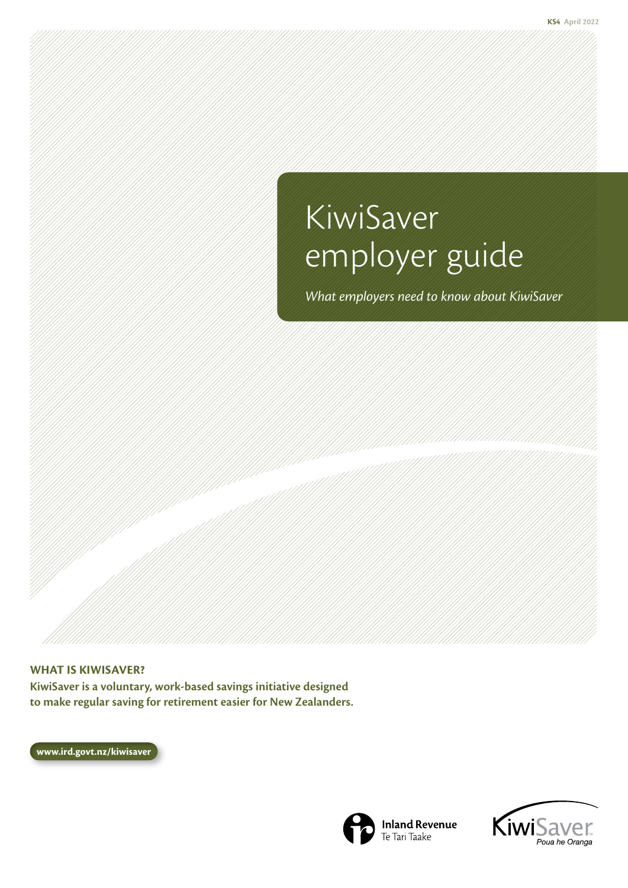# KiwiSaver employer guide

*What employers need to know about KiwiSaver*

#### **WHAT IS KIWISAVER?**

**KiwiSaver is a voluntary, work-based savings initiative designed to make regular saving for retirement easier for New Zealanders.**





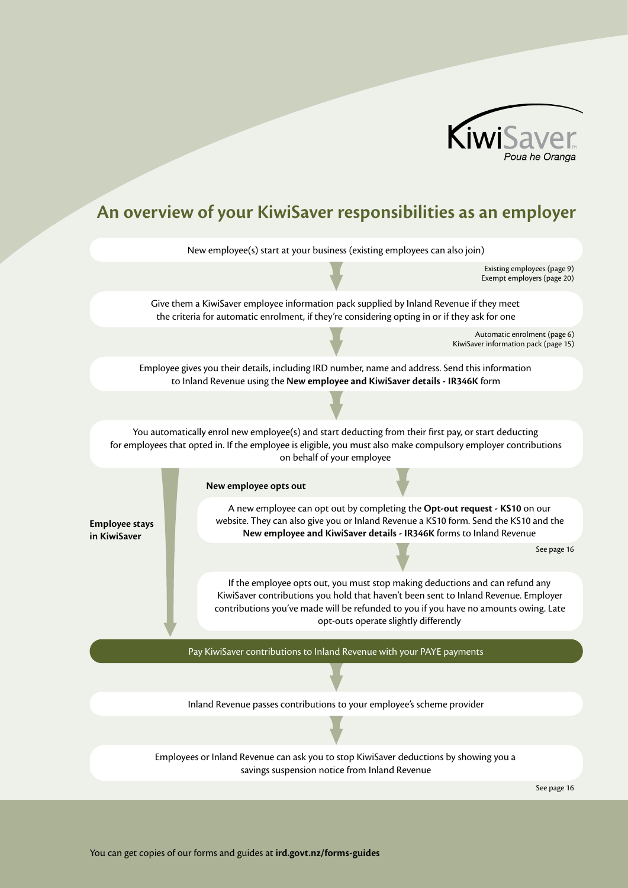

### **An overview of your KiwiSaver responsibilities as an employer**

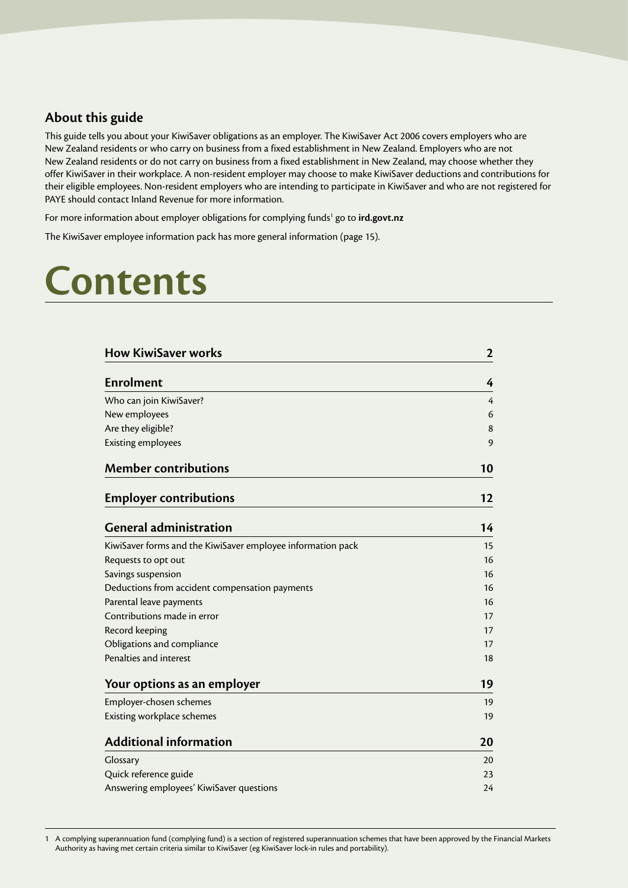#### **About this guide**

This guide tells you about your KiwiSaver obligations as an employer. The KiwiSaver Act 2006 covers employers who are New Zealand residents or who carry on business from a fixed establishment in New Zealand. Employers who are not New Zealand residents or do not carry on business from a fixed establishment in New Zealand, may choose whether they offer KiwiSaver in their workplace. A non-resident employer may choose to make KiwiSaver deductions and contributions for their eligible employees. Non-resident employers who are intending to participate in KiwiSaver and who are not registered for PAYE should contact Inland Revenue for more information.

For more information about employer obligations for complying funds<sup>1</sup> go to i**rd.govt.nz** 

The KiwiSaver employee information pack has more general information ([page 15](#page-16-0)).

# **Contents**

| <b>How KiwiSaver works</b>                                  | $\mathbf{2}$ |
|-------------------------------------------------------------|--------------|
| <b>Enrolment</b>                                            | 4            |
| Who can join KiwiSaver?                                     | 4            |
| New employees                                               | 6            |
| Are they eligible?                                          | 8            |
| <b>Existing employees</b>                                   | 9            |
| <b>Member contributions</b>                                 | 10           |
| <b>Employer contributions</b>                               | 12           |
| <b>General administration</b>                               | 14           |
| KiwiSaver forms and the KiwiSaver employee information pack | 15           |
| Requests to opt out                                         | 16           |
| Savings suspension                                          | 16           |
| Deductions from accident compensation payments              | 16           |
| Parental leave payments                                     | 16           |
| Contributions made in error                                 | 17           |
| Record keeping                                              | 17           |
| Obligations and compliance                                  | 17           |
| Penalties and interest                                      | 18           |
| Your options as an employer                                 | 19           |
| Employer-chosen schemes                                     | 19           |
| Existing workplace schemes                                  | 19           |
| <b>Additional information</b>                               | 20           |
| Glossary                                                    | 20           |
| Quick reference guide                                       | 23           |
| Answering employees' KiwiSaver questions                    | 24           |

1 A complying superannuation fund (complying fund) is a section of registered superannuation schemes that have been approved by the Financial Markets Authority as having met certain criteria similar to KiwiSaver (eg KiwiSaver lock-in rules and portability).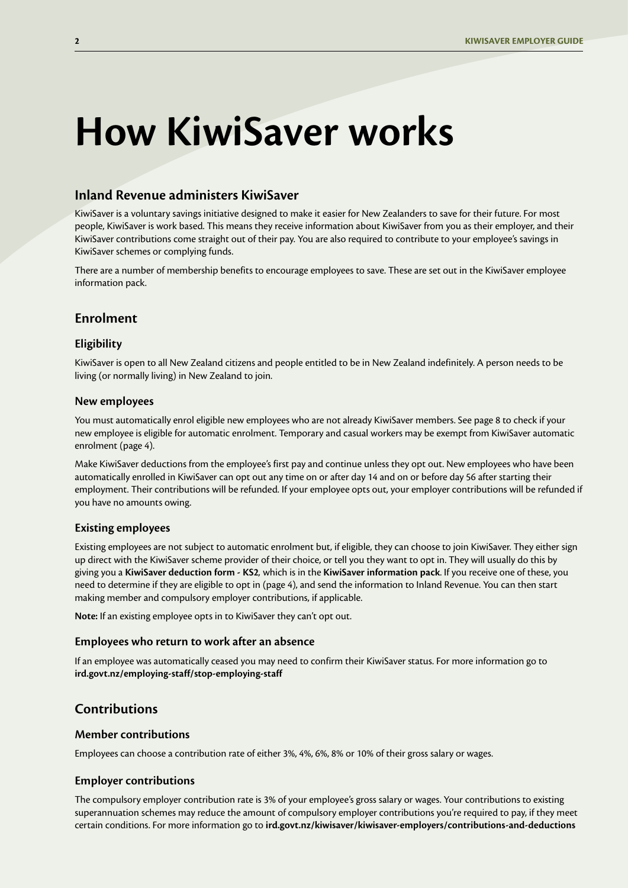# <span id="page-3-0"></span>**How KiwiSaver works**

#### **Inland Revenue administers KiwiSaver**

KiwiSaver is a voluntary savings initiative designed to make it easier for New Zealanders to save for their future. For most people, KiwiSaver is work based. This means they receive information about KiwiSaver from you as their employer, and their KiwiSaver contributions come straight out of their pay. You are also required to contribute to your employee's savings in KiwiSaver schemes or complying funds.

There are a number of membership benefits to encourage employees to save. These are set out in the KiwiSaver employee information pack.

#### **Enrolment**

#### **Eligibility**

KiwiSaver is open to all New Zealand citizens and people entitled to be in New Zealand indefinitely. A person needs to be living (or normally living) in New Zealand to join.

#### **New employees**

You must automatically enrol eligible new employees who are not already KiwiSaver members. See [page 8](#page-9-0) to check if your new employee is eligible for automatic enrolment. Temporary and casual workers may be exempt from KiwiSaver automatic enrolment ([page 4\)](#page-5-0).

Make KiwiSaver deductions from the employee's first pay and continue unless they opt out. New employees who have been automatically enrolled in KiwiSaver can opt out any time on or after day 14 and on or before day 56 after starting their employment. Their contributions will be refunded. If your employee opts out, your employer contributions will be refunded if you have no amounts owing.

#### **Existing employees**

Existing employees are not subject to automatic enrolment but, if eligible, they can choose to join KiwiSaver. They either sign up direct with the KiwiSaver scheme provider of their choice, or tell you they want to opt in. They will usually do this by giving you a **KiwiSaver deduction form - KS2***,* which is in the **KiwiSaver information pack**. If you receive one of these, you need to determine if they are eligible to opt in [\(page 4](#page-5-0)), and send the information to Inland Revenue. You can then start making member and compulsory employer contributions, if applicable.

**Note:** If an existing employee opts in to KiwiSaver they can't opt out.

#### **Employees who return to work after an absence**

If an employee was automatically ceased you may need to confirm their KiwiSaver status. For more information go to **[ird.govt.nz/employing-staff/stop-employing-staff](http://ird.govt.nz/employing-staff/stop-employing-staff)**

#### **Contributions**

#### **Member contributions**

Employees can choose a contribution rate of either 3%, 4%, 6%, 8% or 10% of their gross salary or wages.

#### **Employer contributions**

The compulsory employer contribution rate is 3% of your employee's gross salary or wages. Your contributions to existing superannuation schemes may reduce the amount of compulsory employer contributions you're required to pay, if they meet certain conditions. For more information go to **[ird.govt.nz/kiwisaver/kiwisaver-employers/contributions-and-deductions](http://ird.govt.nz/kiwisaver/kiwisaver-employers/contributions-and-deductions)**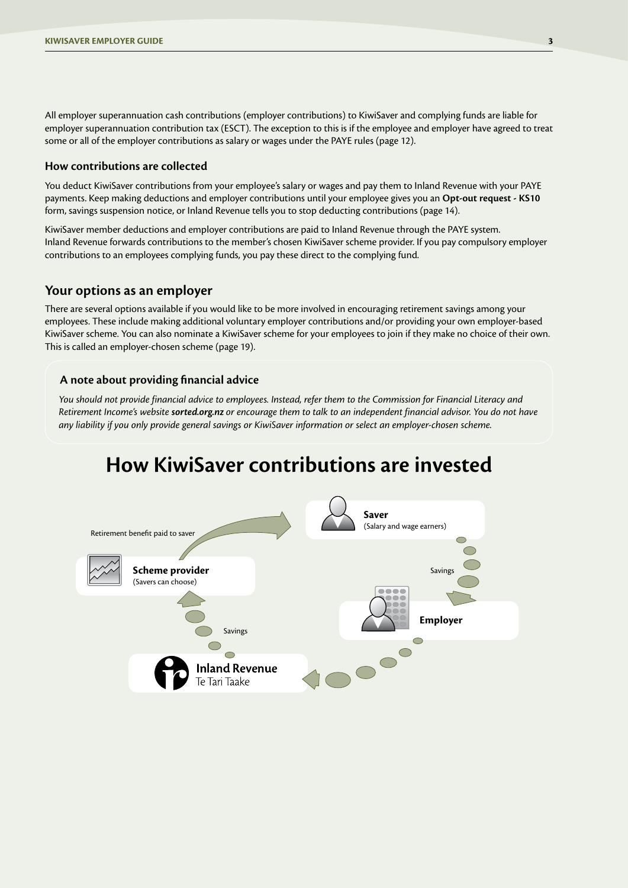All employer superannuation cash contributions (employer contributions) to KiwiSaver and complying funds are liable for employer superannuation contribution tax (ESCT). The exception to this is if the employee and employer have agreed to treat some or all of the employer contributions as salary or wages under the PAYE rules ([page 12](#page-13-0)).

#### **How contributions are collected**

You deduct KiwiSaver contributions from your employee's salary or wages and pay them to Inland Revenue with your PAYE payments. Keep making deductions and employer contributions until your employee gives you an **Opt-out request - KS10** form, savings suspension notice, or Inland Revenue tells you to stop deducting contributions [\(page 14](#page-15-0)).

KiwiSaver member deductions and employer contributions are paid to Inland Revenue through the PAYE system. Inland Revenue forwards contributions to the member's chosen KiwiSaver scheme provider. If you pay compulsory employer contributions to an employees complying funds, you pay these direct to the complying fund.

#### **Your options as an employer**

There are several options available if you would like to be more involved in encouraging retirement savings among your employees. These include making additional voluntary employer contributions and/or providing your own employer-based KiwiSaver scheme. You can also nominate a KiwiSaver scheme for your employees to join if they make no choice of their own. This is called an employer-chosen scheme ([page 19](#page-20-0)).

#### **A note about providing financial advice**

*You should not provide financial advice to employees. Instead, refer them to the Commission for Financial Literacy and Retirement Income's website sorted.org.nz or encourage them to talk to an independent financial advisor. You do not have any liability if you only provide general savings or KiwiSaver information or select an employer-chosen scheme.*

### **How KiwiSaver contributions are invested**

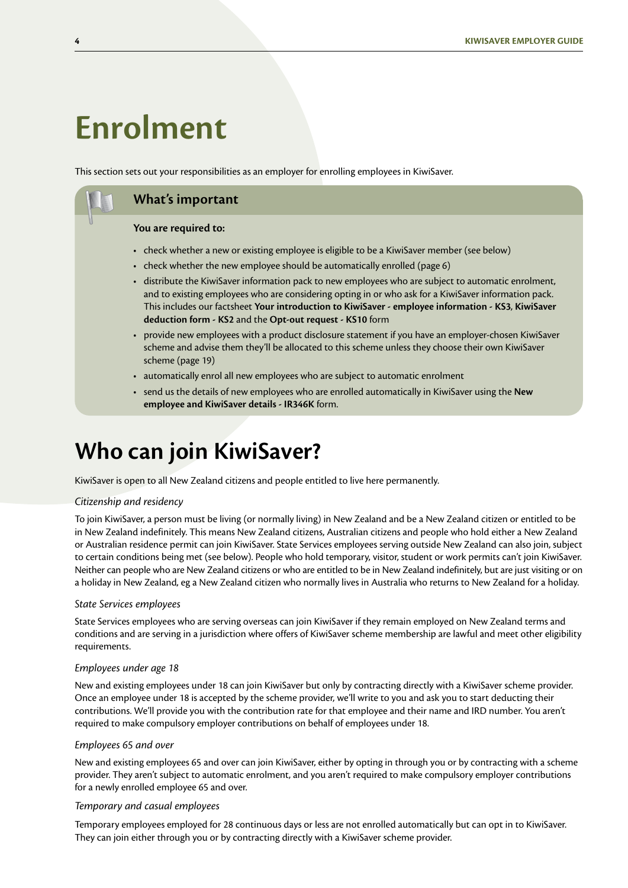# <span id="page-5-0"></span>**Enrolment**

This section sets out your responsibilities as an employer for enrolling employees in KiwiSaver.

#### **What's important**

#### **You are required to:**

- check whether a new or existing employee is eligible to be a KiwiSaver member (see below)
- check whether the new employee should be automatically enrolled [\(page 6](#page-7-0))
- distribute the KiwiSaver information pack to new employees who are subject to automatic enrolment, and to existing employees who are considering opting in or who ask for a KiwiSaver information pack. This includes our factsheet **Your introduction to KiwiSaver - employee information - KS3**, **KiwiSaver deduction form - KS2** and the **Opt-out request - KS10** form
- provide new employees with a product disclosure statement if you have an employer-chosen KiwiSaver scheme and advise them they'll be allocated to this scheme unless they choose their own KiwiSaver scheme ([page 19\)](#page-20-0)
- automatically enrol all new employees who are subject to automatic enrolment
- send us the details of new employees who are enrolled automatically in KiwiSaver using the **New employee and KiwiSaver details - IR346K** form.

### **Who can join KiwiSaver?**

KiwiSaver is open to all New Zealand citizens and people entitled to live here permanently.

#### *Citizenship and residency*

To join KiwiSaver, a person must be living (or normally living) in New Zealand and be a New Zealand citizen or entitled to be in New Zealand indefinitely. This means New Zealand citizens, Australian citizens and people who hold either a New Zealand or Australian residence permit can join KiwiSaver. State Services employees serving outside New Zealand can also join, subject to certain conditions being met (see below). People who hold temporary, visitor, student or work permits can't join KiwiSaver. Neither can people who are New Zealand citizens or who are entitled to be in New Zealand indefinitely, but are just visiting or on a holiday in New Zealand, eg a New Zealand citizen who normally lives in Australia who returns to New Zealand for a holiday.

#### *State Services employees*

State Services employees who are serving overseas can join KiwiSaver if they remain employed on New Zealand terms and conditions and are serving in a jurisdiction where offers of KiwiSaver scheme membership are lawful and meet other eligibility requirements.

#### *Employees under age 18*

New and existing employees under 18 can join KiwiSaver but only by contracting directly with a KiwiSaver scheme provider. Once an employee under 18 is accepted by the scheme provider, we'll write to you and ask you to start deducting their contributions. We'll provide you with the contribution rate for that employee and their name and IRD number. You aren't required to make compulsory employer contributions on behalf of employees under 18.

#### *Employees 65 and over*

New and existing employees 65 and over can join KiwiSaver, either by opting in through you or by contracting with a scheme provider. They aren't subject to automatic enrolment, and you aren't required to make compulsory employer contributions for a newly enrolled employee 65 and over.

#### *Temporary and casual employees*

Temporary employees employed for 28 continuous days or less are not enrolled automatically but can opt in to KiwiSaver. They can join either through you or by contracting directly with a KiwiSaver scheme provider.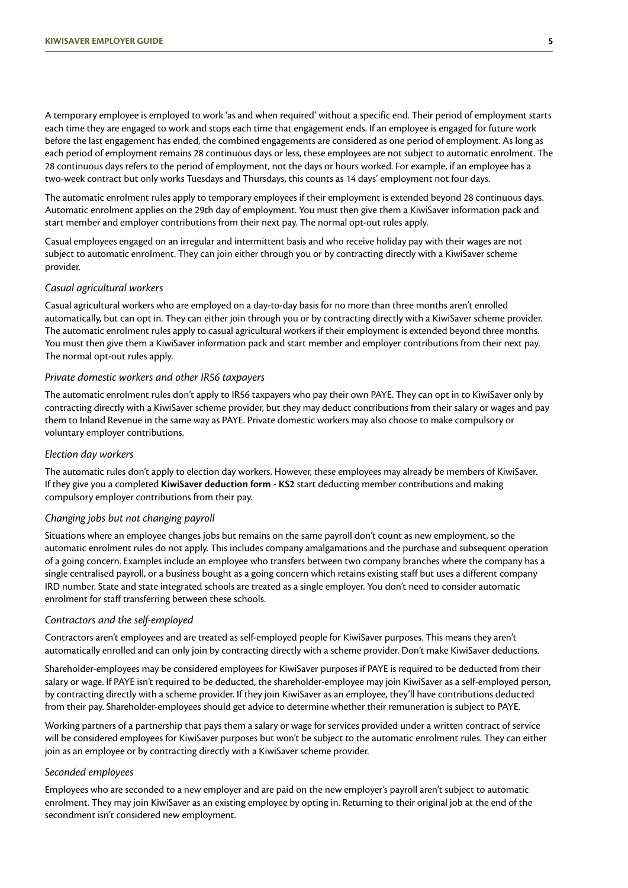<span id="page-6-0"></span>A temporary employee is employed to work 'as and when required' without a specific end. Their period of employment starts each time they are engaged to work and stops each time that engagement ends. If an employee is engaged for future work before the last engagement has ended, the combined engagements are considered as one period of employment. As long as each period of employment remains 28 continuous days or less, these employees are not subject to automatic enrolment. The 28 continuous days refers to the period of employment, not the days or hours worked. For example, if an employee has a two-week contract but only works Tuesdays and Thursdays, this counts as 14 days' employment not four days.

The automatic enrolment rules apply to temporary employees if their employment is extended beyond 28 continuous days. Automatic enrolment applies on the 29th day of employment. You must then give them a KiwiSaver information pack and start member and employer contributions from their next pay. The normal opt-out rules apply.

Casual employees engaged on an irregular and intermittent basis and who receive holiday pay with their wages are not subject to automatic enrolment. They can join either through you or by contracting directly with a KiwiSaver scheme provider.

#### *Casual agricultural workers*

Casual agricultural workers who are employed on a day-to-day basis for no more than three months aren't enrolled automatically, but can opt in. They can either join through you or by contracting directly with a KiwiSaver scheme provider. The automatic enrolment rules apply to casual agricultural workers if their employment is extended beyond three months. You must then give them a KiwiSaver information pack and start member and employer contributions from their next pay. The normal opt-out rules apply.

#### *Private domestic workers and other IR56 taxpayers*

The automatic enrolment rules don't apply to IR56 taxpayers who pay their own PAYE. They can opt in to KiwiSaver only by contracting directly with a KiwiSaver scheme provider, but they may deduct contributions from their salary or wages and pay them to Inland Revenue in the same way as PAYE. Private domestic workers may also choose to make compulsory or voluntary employer contributions.

#### *Election day workers*

The automatic rules don't apply to election day workers. However, these employees may already be members of KiwiSaver. If they give you a completed **KiwiSaver deduction form - KS2** start deducting member contributions and making compulsory employer contributions from their pay.

#### *Changing jobs but not changing payroll*

Situations where an employee changes jobs but remains on the same payroll don't count as new employment, so the automatic enrolment rules do not apply. This includes company amalgamations and the purchase and subsequent operation of a going concern. Examples include an employee who transfers between two company branches where the company has a single centralised payroll, or a business bought as a going concern which retains existing staff but uses a different company IRD number. State and state integrated schools are treated as a single employer. You don't need to consider automatic enrolment for staff transferring between these schools.

#### *Contractors and the self-employed*

Contractors aren't employees and are treated as self-employed people for KiwiSaver purposes. This means they aren't automatically enrolled and can only join by contracting directly with a scheme provider. Don't make KiwiSaver deductions.

Shareholder-employees may be considered employees for KiwiSaver purposes if PAYE is required to be deducted from their salary or wage. If PAYE isn't required to be deducted, the shareholder-employee may join KiwiSaver as a self-employed person, by contracting directly with a scheme provider. If they join KiwiSaver as an employee, they'll have contributions deducted from their pay. Shareholder-employees should get advice to determine whether their remuneration is subject to PAYE.

Working partners of a partnership that pays them a salary or wage for services provided under a written contract of service will be considered employees for KiwiSaver purposes but won't be subject to the automatic enrolment rules. They can either join as an employee or by contracting directly with a KiwiSaver scheme provider.

#### *Seconded employees*

Employees who are seconded to a new employer and are paid on the new employer's payroll aren't subject to automatic enrolment. They may join KiwiSaver as an existing employee by opting in. Returning to their original job at the end of the secondment isn't considered new employment.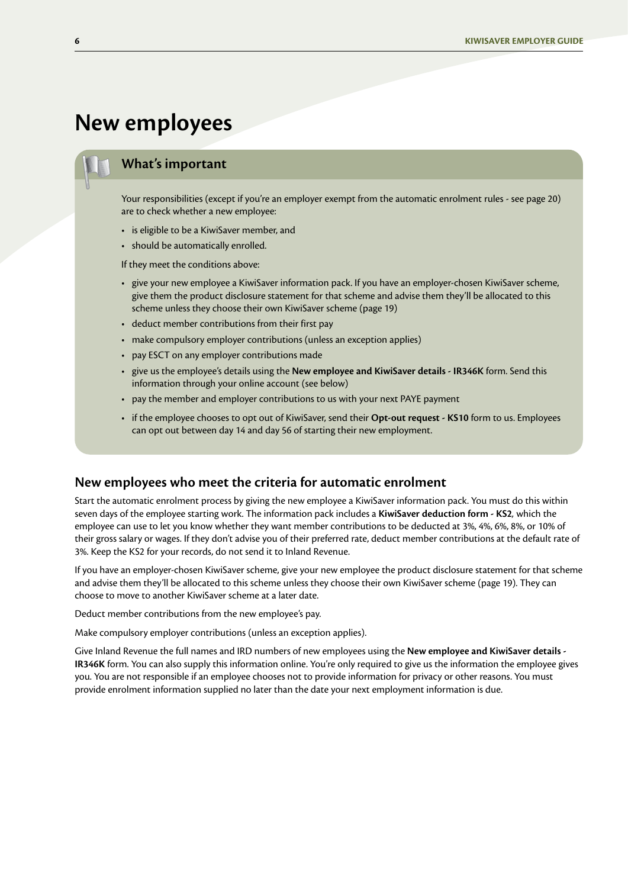### <span id="page-7-0"></span>**New employees**

#### **What's important**

Your responsibilities (except if you're an employer exempt from the automatic enrolment rules - see [page 20\)](#page-21-0) are to check whether a new employee:

- is eligible to be a KiwiSaver member, and
- should be automatically enrolled.

If they meet the conditions above:

- give your new employee a KiwiSaver information pack. If you have an employer-chosen KiwiSaver scheme, give them the product disclosure statement for that scheme and advise them they'll be allocated to this scheme unless they choose their own KiwiSaver scheme [\(page 19\)](#page-20-0)
- deduct member contributions from their first pay
- make compulsory employer contributions (unless an exception applies)
- pay ESCT on any employer contributions made
- give us the employee's details using the **New employee and KiwiSaver details IR346K** form. Send this information through your online account (see below)
- pay the member and employer contributions to us with your next PAYE payment
- if the employee chooses to opt out of KiwiSaver, send their **Opt-out request KS10** form to us. Employees can opt out between day 14 and day 56 of starting their new employment.

#### **New employees who meet the criteria for automatic enrolment**

Start the automatic enrolment process by giving the new employee a KiwiSaver information pack. You must do this within seven days of the employee starting work. The information pack includes a **KiwiSaver deduction form - KS2***,* which the employee can use to let you know whether they want member contributions to be deducted at 3%, 4%, 6%, 8%, or 10% of their gross salary or wages. If they don't advise you of their preferred rate, deduct member contributions at the default rate of 3%. Keep the KS2 for your records, do not send it to Inland Revenue.

If you have an employer-chosen KiwiSaver scheme, give your new employee the product disclosure statement for that scheme and advise them they'll be allocated to this scheme unless they choose their own KiwiSaver scheme [\(page 19\)](#page-20-0). They can choose to move to another KiwiSaver scheme at a later date.

Deduct member contributions from the new employee's pay.

Make compulsory employer contributions (unless an exception applies).

Give Inland Revenue the full names and IRD numbers of new employees using the **New employee and KiwiSaver details - IR346K** form. You can also supply this information online. You're only required to give us the information the employee gives you. You are not responsible if an employee chooses not to provide information for privacy or other reasons. You must provide enrolment information supplied no later than the date your next employment information is due.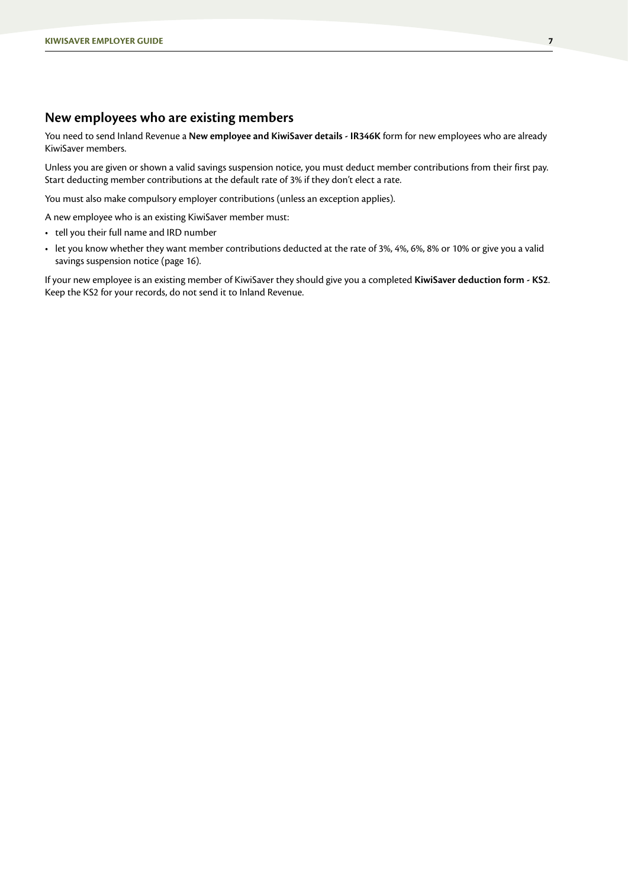#### <span id="page-8-0"></span>**New employees who are existing members**

You need to send Inland Revenue a **New employee and KiwiSaver details - IR346K** form for new employees who are already KiwiSaver members.

Unless you are given or shown a valid savings suspension notice, you must deduct member contributions from their first pay. Start deducting member contributions at the default rate of 3% if they don't elect a rate.

You must also make compulsory employer contributions (unless an exception applies).

A new employee who is an existing KiwiSaver member must:

- tell you their full name and IRD number
- let you know whether they want member contributions deducted at the rate of 3%, 4%, 6%, 8% or 10% or give you a valid savings suspension notice [\(page 16\)](#page-17-0).

If your new employee is an existing member of KiwiSaver they should give you a completed **KiwiSaver deduction form - KS2**. Keep the KS2 for your records, do not send it to Inland Revenue.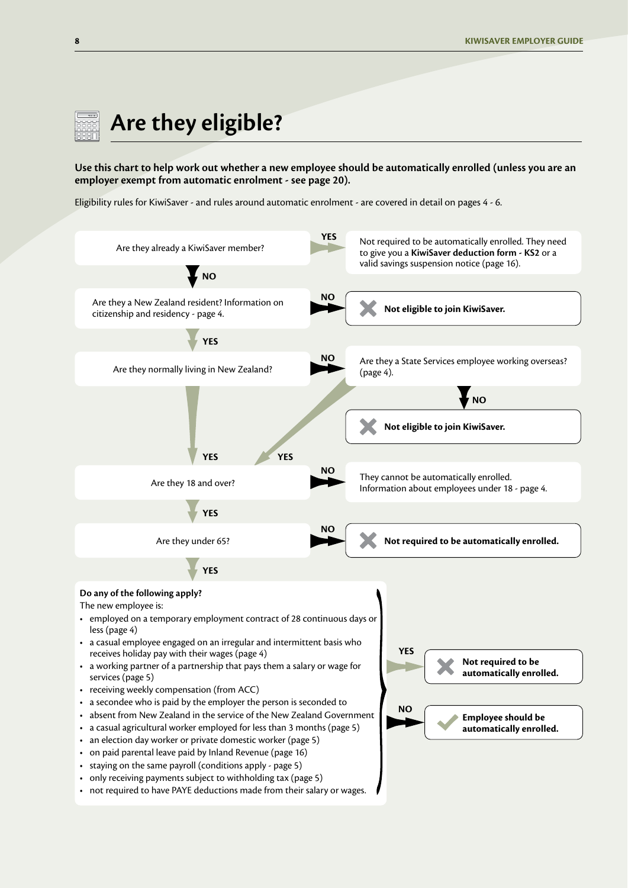### <span id="page-9-0"></span>**Are they eligible?**

**Use this chart to help work out whether a new employee should be automatically enrolled (unless you are an employer exempt from automatic enrolment - see [page 20](#page-21-0)).**

Eligibility rules for KiwiSaver - and rules around automatic enrolment - are covered in detail on pages 4 - 6.



<sup>•</sup> not required to have PAYE deductions made from their salary or wages.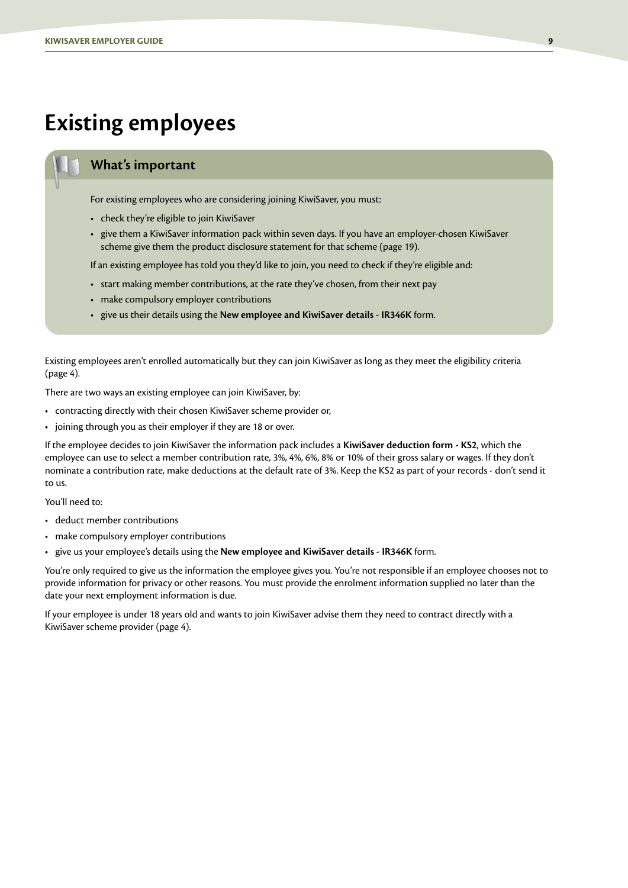### <span id="page-10-0"></span>**Existing employees**

#### **What's important**

For existing employees who are considering joining KiwiSaver, you must:

- check they're eligible to join KiwiSaver
- give them a KiwiSaver information pack within seven days. If you have an employer-chosen KiwiSaver scheme give them the product disclosure statement for that scheme [\(page 19\)](#page-20-0).

If an existing employee has told you they'd like to join, you need to check if they're eligible and:

- start making member contributions, at the rate they've chosen, from their next pay
- make compulsory employer contributions
- give us their details using the **New employee and KiwiSaver details IR346K** form.

Existing employees aren't enrolled automatically but they can join KiwiSaver as long as they meet the eligibility criteria ([page 4\)](#page-5-0).

There are two ways an existing employee can join KiwiSaver, by:

- contracting directly with their chosen KiwiSaver scheme provider or,
- joining through you as their employer if they are 18 or over.

If the employee decides to join KiwiSaver the information pack includes a **KiwiSaver deduction form - KS2**, which the employee can use to select a member contribution rate, 3%, 4%, 6%, 8% or 10% of their gross salary or wages. If they don't nominate a contribution rate, make deductions at the default rate of 3%. Keep the KS2 as part of your records - don't send it to us.

You'll need to:

- deduct member contributions
- make compulsory employer contributions
- give us your employee's details using the **New employee and KiwiSaver details IR346K** form.

You're only required to give us the information the employee gives you. You're not responsible if an employee chooses not to provide information for privacy or other reasons. You must provide the enrolment information supplied no later than the date your next employment information is due.

If your employee is under 18 years old and wants to join KiwiSaver advise them they need to contract directly with a KiwiSaver scheme provider [\(page 4](#page-5-0)).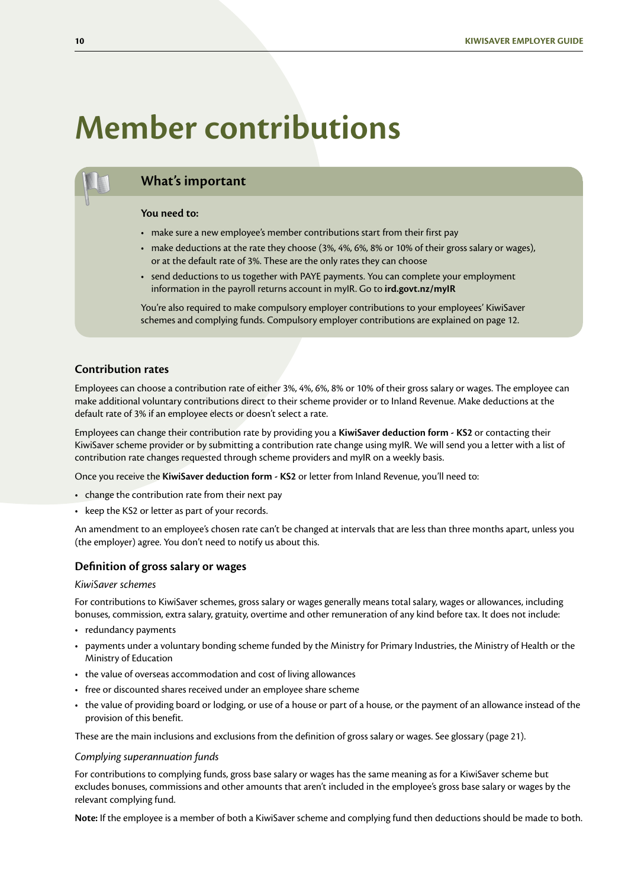# <span id="page-11-0"></span>**Member contributions**

#### **What's important**

#### **You need to:**

- make sure a new employee's member contributions start from their first pay
- make deductions at the rate they choose (3%, 4%, 6%, 8% or 10% of their gross salary or wages), or at the default rate of 3%. These are the only rates they can choose
- send deductions to us together with PAYE payments. You can complete your employment information in the payroll returns account in myIR. Go to **[ird.govt.nz/myIR](http://ird.govt.nz/myIR)**

You're also required to make compulsory employer contributions to your employees' KiwiSaver schemes and complying funds. Compulsory employer contributions are explained on [page 12.](#page-13-0)

#### **Contribution rates**

Employees can choose a contribution rate of either 3%, 4%, 6%, 8% or 10% of their gross salary or wages. The employee can make additional voluntary contributions direct to their scheme provider or to Inland Revenue. Make deductions at the default rate of 3% if an employee elects or doesn't select a rate.

Employees can change their contribution rate by providing you a **KiwiSaver deduction form - KS2** or contacting their KiwiSaver scheme provider or by submitting a contribution rate change using myIR. We will send you a letter with a list of contribution rate changes requested through scheme providers and myIR on a weekly basis.

Once you receive the **KiwiSaver deduction form - KS2** or letter from Inland Revenue, you'll need to:

- change the contribution rate from their next pay
- keep the KS2 or letter as part of your records.

An amendment to an employee's chosen rate can't be changed at intervals that are less than three months apart, unless you (the employer) agree. You don't need to notify us about this.

#### **Definition of gross salary or wages**

#### *KiwiSaver schemes*

For contributions to KiwiSaver schemes, gross salary or wages generally means total salary, wages or allowances, including bonuses, commission, extra salary, gratuity, overtime and other remuneration of any kind before tax. It does not include:

- redundancy payments
- payments under a voluntary bonding scheme funded by the Ministry for Primary Industries, the Ministry of Health or the Ministry of Education
- the value of overseas accommodation and cost of living allowances
- free or discounted shares received under an employee share scheme
- the value of providing board or lodging, or use of a house or part of a house, or the payment of an allowance instead of the provision of this benefit.

These are the main inclusions and exclusions from the definition of gross salary or wages. See glossary ([page 21\)](#page-22-0).

#### *Complying superannuation funds*

For contributions to complying funds, gross base salary or wages has the same meaning as for a KiwiSaver scheme but excludes bonuses, commissions and other amounts that aren't included in the employee's gross base salary or wages by the relevant complying fund.

**Note:** If the employee is a member of both a KiwiSaver scheme and complying fund then deductions should be made to both.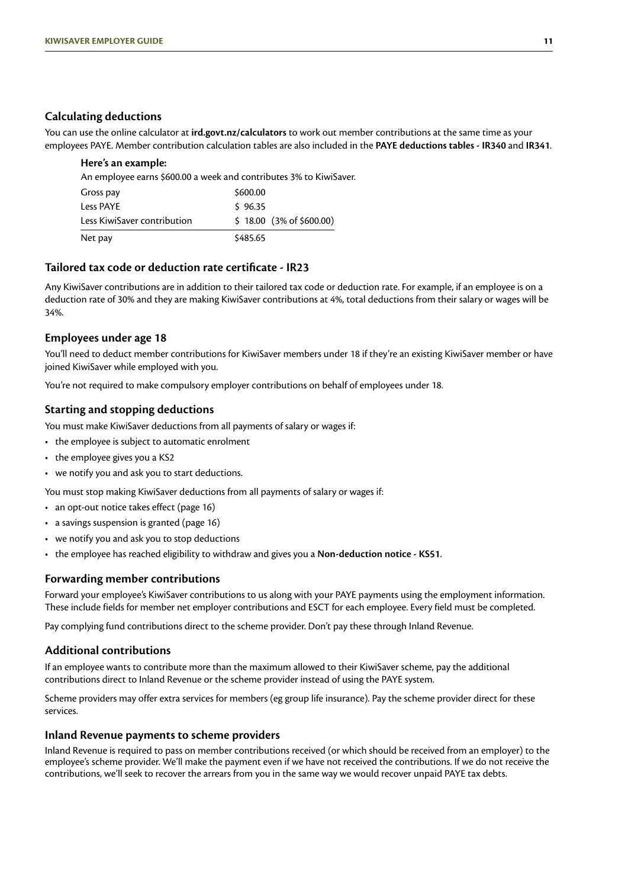#### <span id="page-12-0"></span>**Calculating deductions**

You can use the online calculator at **ird.govt.nz/calculators** to work out member contributions at the same time as your employees PAYE. Member contribution calculation tables are also included in the **PAYE deductions tables - IR340** and **IR341**.

| Here's an example:          |                                                                    |  |  |  |  |
|-----------------------------|--------------------------------------------------------------------|--|--|--|--|
|                             | An employee earns \$600.00 a week and contributes 3% to KiwiSaver. |  |  |  |  |
| Gross pay                   | \$600.00                                                           |  |  |  |  |
| Less PAYE                   | \$96.35                                                            |  |  |  |  |
| Less KiwiSaver contribution | $$18.00$ $(3\% \text{ of } $600.00)$                               |  |  |  |  |
| Net pay                     | \$485.65                                                           |  |  |  |  |

#### **Tailored tax code or deduction rate certificate - IR23**

Any KiwiSaver contributions are in addition to their tailored tax code or deduction rate. For example, if an employee is on a deduction rate of 30% and they are making KiwiSaver contributions at 4%, total deductions from their salary or wages will be 34%.

#### **Employees under age 18**

You'll need to deduct member contributions for KiwiSaver members under 18 if they're an existing KiwiSaver member or have joined KiwiSaver while employed with you.

You're not required to make compulsory employer contributions on behalf of employees under 18.

#### **Starting and stopping deductions**

You must make KiwiSaver deductions from all payments of salary or wages if:

- the employee is subject to automatic enrolment
- the employee gives you a KS2
- we notify you and ask you to start deductions.

You must stop making KiwiSaver deductions from all payments of salary or wages if:

- an opt-out notice takes effect [\(page 16\)](#page-17-0)
- a savings suspension is granted ([page 16](#page-17-0))
- we notify you and ask you to stop deductions
- the employee has reached eligibility to withdraw and gives you a **Non-deduction notice KS51**.

#### **Forwarding member contributions**

Forward your employee's KiwiSaver contributions to us along with your PAYE payments using the employment information. These include fields for member net employer contributions and ESCT for each employee. Every field must be completed.

Pay complying fund contributions direct to the scheme provider. Don't pay these through Inland Revenue.

#### **Additional contributions**

If an employee wants to contribute more than the maximum allowed to their KiwiSaver scheme, pay the additional contributions direct to Inland Revenue or the scheme provider instead of using the PAYE system.

Scheme providers may offer extra services for members (eg group life insurance). Pay the scheme provider direct for these services.

#### **Inland Revenue payments to scheme providers**

Inland Revenue is required to pass on member contributions received (or which should be received from an employer) to the employee's scheme provider. We'll make the payment even if we have not received the contributions. If we do not receive the contributions, we'll seek to recover the arrears from you in the same way we would recover unpaid PAYE tax debts.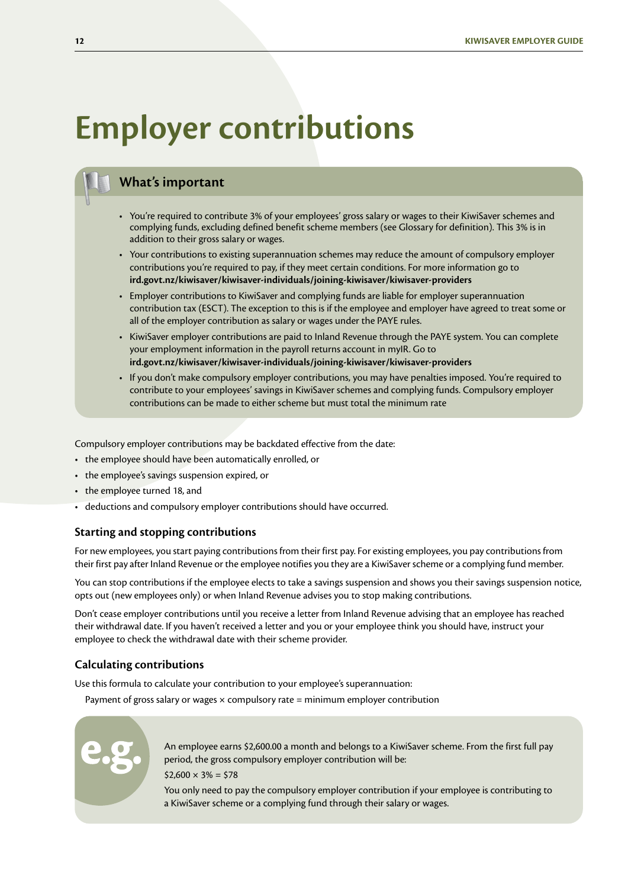# <span id="page-13-0"></span>**Employer contributions**

#### **What's important**

- You're required to contribute 3% of your employees' gross salary or wages to their KiwiSaver schemes and complying funds, excluding defined benefit scheme members (see Glossary for definition). This 3% is in addition to their gross salary or wages.
- Your contributions to existing superannuation schemes may reduce the amount of compulsory employer contributions you're required to pay, if they meet certain conditions. For more information go to **[ird.govt.nz/kiwisaver/kiwisaver-individuals/joining-kiwisaver/kiwisaver-providers](http://ird.govt.nz/kiwisaver/kiwisaver-individuals/joining-kiwisaver/kiwisaver-providers)**
- Employer contributions to KiwiSaver and complying funds are liable for employer superannuation contribution tax (ESCT). The exception to this is if the employee and employer have agreed to treat some or all of the employer contribution as salary or wages under the PAYE rules.
- KiwiSaver employer contributions are paid to Inland Revenue through the PAYE system. You can complete your employment information in the payroll returns account in myIR. Go to **[ird.govt.nz/kiwisaver/kiwisaver-individuals/joining-kiwisaver/kiwisaver-providers](http://ird.govt.nz/kiwisaver/kiwisaver-individuals/joining-kiwisaver/kiwisaver-providers)**
- If you don't make compulsory employer contributions, you may have penalties imposed. You're required to contribute to your employees' savings in KiwiSaver schemes and complying funds. Compulsory employer contributions can be made to either scheme but must total the minimum rate

Compulsory employer contributions may be backdated effective from the date:

- the employee should have been automatically enrolled, or
- the employee's savings suspension expired, or
- the employee turned 18, and
- deductions and compulsory employer contributions should have occurred.

#### **Starting and stopping contributions**

For new employees, you start paying contributions from their first pay. For existing employees, you pay contributions from their first pay after Inland Revenue or the employee notifies you they are a KiwiSaver scheme or a complying fund member.

You can stop contributions if the employee elects to take a savings suspension and shows you their savings suspension notice, opts out (new employees only) or when Inland Revenue advises you to stop making contributions.

Don't cease employer contributions until you receive a letter from Inland Revenue advising that an employee has reached their withdrawal date. If you haven't received a letter and you or your employee think you should have, instruct your employee to check the withdrawal date with their scheme provider.

#### **Calculating contributions**

Use this formula to calculate your contribution to your employee's superannuation:

Payment of gross salary or wages  $\times$  compulsory rate = minimum employer contribution



An employee earns \$2,600.00 a month and belongs to a KiwiSaver scheme. From the first full pay period, the gross compulsory employer contribution will be:  $$2,600 \times 3\% = $78$ 

You only need to pay the compulsory employer contribution if your employee is contributing to a KiwiSaver scheme or a complying fund through their salary or wages.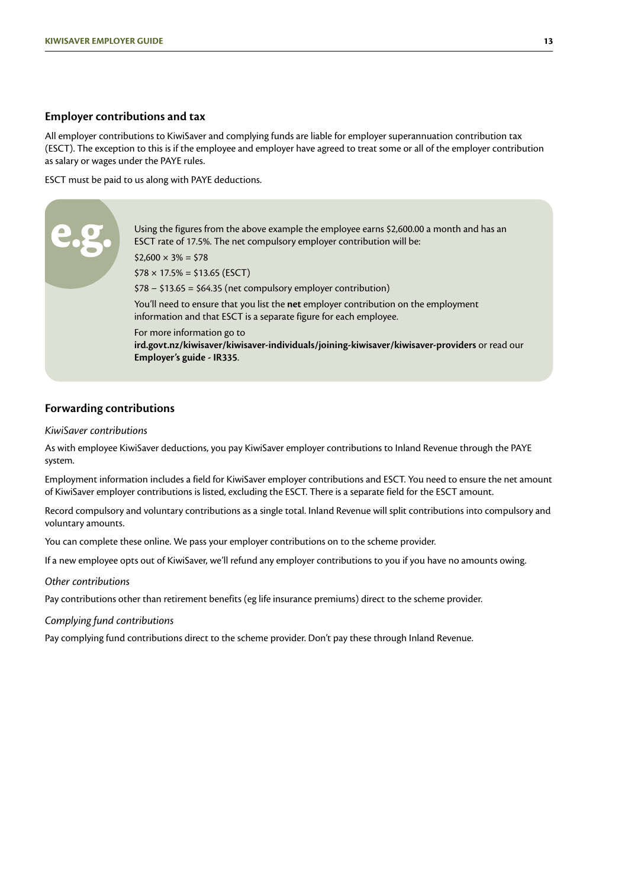#### <span id="page-14-0"></span>**Employer contributions and tax**

All employer contributions to KiwiSaver and complying funds are liable for employer superannuation contribution tax (ESCT). The exception to this is if the employee and employer have agreed to treat some or all of the employer contribution as salary or wages under the PAYE rules.

ESCT must be paid to us along with PAYE deductions.

| Using the figures from the above example the employee earns \$2,600.00 a month and has an<br>ESCT rate of 17.5%. The net compulsory employer contribution will be: |
|--------------------------------------------------------------------------------------------------------------------------------------------------------------------|
|                                                                                                                                                                    |
| $$2.600 \times 3\% = $78$                                                                                                                                          |
| $$78 \times 17.5\% = $13.65$ (ESCT)                                                                                                                                |
| $$78 - $13.65 = $64.35$ (net compulsory employer contribution)                                                                                                     |
| You'll need to ensure that you list the net employer contribution on the employment<br>information and that ESCT is a separate figure for each employee.           |
| For more information go to                                                                                                                                         |
| ird.govt.nz/kiwisaver/kiwisaver-individuals/joining-kiwisaver/kiwisaver-providers or read our                                                                      |
| Employer's guide - IR335.                                                                                                                                          |
|                                                                                                                                                                    |

#### **Forwarding contributions**

#### *KiwiSaver contributions*

As with employee KiwiSaver deductions, you pay KiwiSaver employer contributions to Inland Revenue through the PAYE system.

Employment information includes a field for KiwiSaver employer contributions and ESCT. You need to ensure the net amount of KiwiSaver employer contributions is listed, excluding the ESCT. There is a separate field for the ESCT amount.

Record compulsory and voluntary contributions as a single total. Inland Revenue will split contributions into compulsory and voluntary amounts.

You can complete these online. We pass your employer contributions on to the scheme provider.

If a new employee opts out of KiwiSaver, we'll refund any employer contributions to you if you have no amounts owing.

#### *Other contributions*

Pay contributions other than retirement benefits (eg life insurance premiums) direct to the scheme provider.

*Complying fund contributions*

Pay complying fund contributions direct to the scheme provider. Don't pay these through Inland Revenue.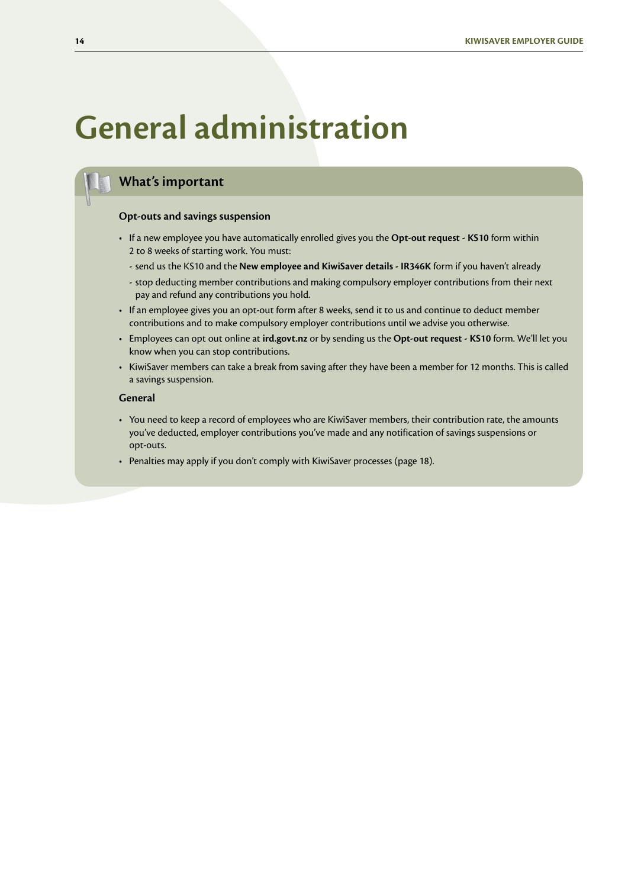## <span id="page-15-0"></span>**General administration**

#### **What's important**

#### **Opt-outs and savings suspension**

- If a new employee you have automatically enrolled gives you the **Opt-out request KS10** form within 2 to 8 weeks of starting work. You must:
	- send us the KS10 and the **New employee and KiwiSaver details IR346K** form if you haven't already
	- stop deducting member contributions and making compulsory employer contributions from their next pay and refund any contributions you hold.
- If an employee gives you an opt-out form after 8 weeks, send it to us and continue to deduct member contributions and to make compulsory employer contributions until we advise you otherwise.
- Employees can opt out online at **ird.govt.nz** or by sending us the **Opt-out request KS10** form. We'll let you know when you can stop contributions.
- KiwiSaver members can take a break from saving after they have been a member for 12 months. This is called a savings suspension.

#### **General**

- You need to keep a record of employees who are KiwiSaver members, their contribution rate, the amounts you've deducted, employer contributions you've made and any notification of savings suspensions or opt-outs.
- Penalties may apply if you don't comply with KiwiSaver processes [\(page 18\)](#page-19-0).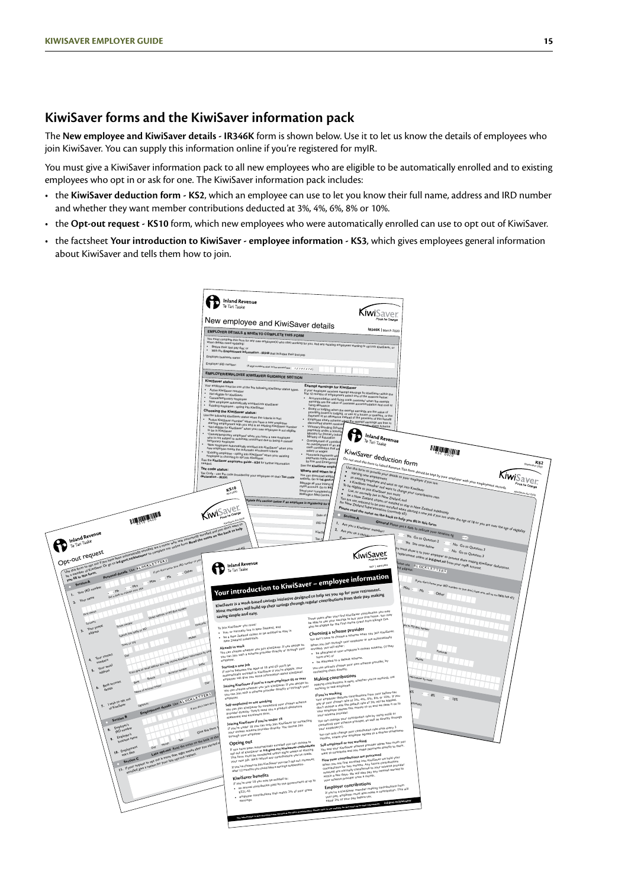#### <span id="page-16-0"></span>**KiwiSaver forms and the KiwiSaver information pack**

The **New employee and KiwiSaver details - IR346K** form is shown below. Use it to let us know the details of employees who join KiwiSaver. You can supply this information online if you're registered for myIR.

You must give a KiwiSaver information pack to all new employees who are eligible to be automatically enrolled and to existing employees who opt in or ask for one. The KiwiSaver information pack includes:

- the **KiwiSaver deduction form KS2**, which an employee can use to let you know their full name, address and IRD number and whether they want member contributions deducted at 3%, 4%, 6%, 8% or 10%.
- the **Opt-out request KS10** form, which new employees who were automatically enrolled can use to opt out of KiwiSaver.
- the factsheet **Your introduction to KiwiSaver employee information KS3**, which gives employees general information about KiwiSaver and tells them how to join.

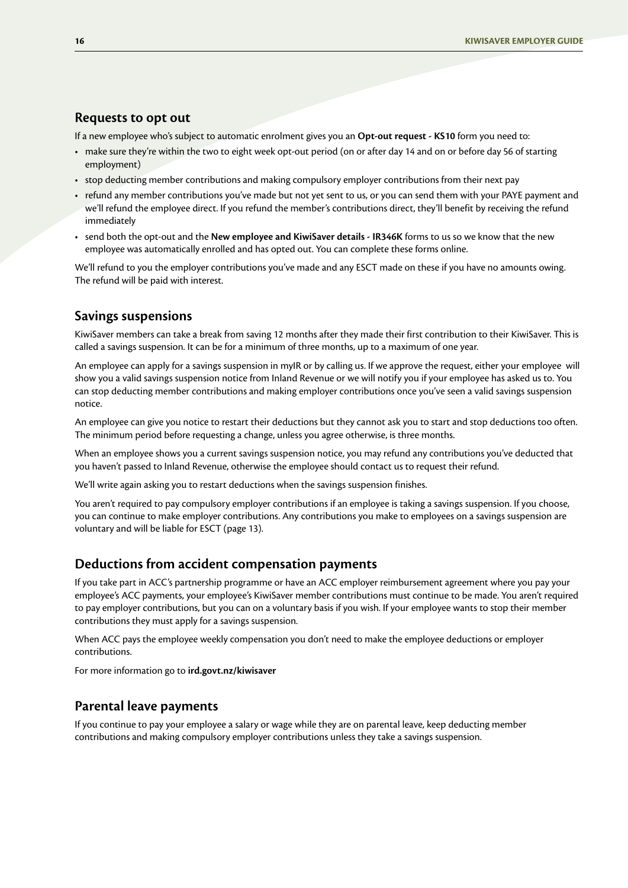#### <span id="page-17-0"></span>**Requests to opt out**

If a new employee who's subject to automatic enrolment gives you an **Opt-out request - KS10** form you need to:

- make sure they're within the two to eight week opt-out period (on or after day 14 and on or before day 56 of starting employment)
- stop deducting member contributions and making compulsory employer contributions from their next pay
- refund any member contributions you've made but not yet sent to us, or you can send them with your PAYE payment and we'll refund the employee direct. If you refund the member's contributions direct, they'll benefit by receiving the refund immediately
- send both the opt-out and the **New employee and KiwiSaver details IR346K** forms to us so we know that the new employee was automatically enrolled and has opted out. You can complete these forms online.

We'll refund to you the employer contributions you've made and any ESCT made on these if you have no amounts owing. The refund will be paid with interest.

#### **Savings suspensions**

KiwiSaver members can take a break from saving 12 months after they made their first contribution to their KiwiSaver. This is called a savings suspension. It can be for a minimum of three months, up to a maximum of one year.

An employee can apply for a savings suspension in myIR or by calling us. If we approve the request, either your employee will show you a valid savings suspension notice from Inland Revenue or we will notify you if your employee has asked us to. You can stop deducting member contributions and making employer contributions once you've seen a valid savings suspension notice.

An employee can give you notice to restart their deductions but they cannot ask you to start and stop deductions too often. The minimum period before requesting a change, unless you agree otherwise, is three months.

When an employee shows you a current savings suspension notice, you may refund any contributions you've deducted that you haven't passed to Inland Revenue, otherwise the employee should contact us to request their refund.

We'll write again asking you to restart deductions when the savings suspension finishes.

You aren't required to pay compulsory employer contributions if an employee is taking a savings suspension. If you choose, you can continue to make employer contributions. Any contributions you make to employees on a savings suspension are voluntary and will be liable for ESCT [\(page 13\)](#page-14-0).

#### **Deductions from accident compensation payments**

If you take part in ACC's partnership programme or have an ACC employer reimbursement agreement where you pay your employee's ACC payments, your employee's KiwiSaver member contributions must continue to be made. You aren't required to pay employer contributions, but you can on a voluntary basis if you wish. If your employee wants to stop their member contributions they must apply for a savings suspension.

When ACC pays the employee weekly compensation you don't need to make the employee deductions or employer contributions.

For more information go to **ird.govt.nz/kiwisaver**

#### **Parental leave payments**

If you continue to pay your employee a salary or wage while they are on parental leave, keep deducting member contributions and making compulsory employer contributions unless they take a savings suspension.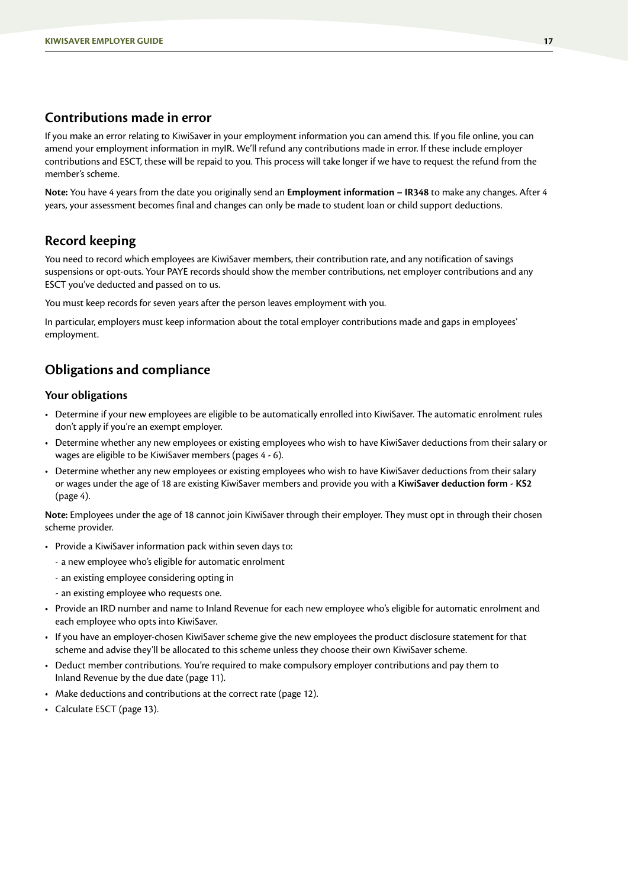#### <span id="page-18-0"></span>**Contributions made in error**

If you make an error relating to KiwiSaver in your employment information you can amend this. If you file online, you can amend your employment information in myIR. We'll refund any contributions made in error. If these include employer contributions and ESCT, these will be repaid to you. This process will take longer if we have to request the refund from the member's scheme.

**Note:** You have 4 years from the date you originally send an **Employment information – IR348** to make any changes. After 4 years, your assessment becomes final and changes can only be made to student loan or child support deductions.

#### **Record keeping**

You need to record which employees are KiwiSaver members, their contribution rate, and any notification of savings suspensions or opt-outs. Your PAYE records should show the member contributions, net employer contributions and any ESCT you've deducted and passed on to us.

You must keep records for seven years after the person leaves employment with you.

In particular, employers must keep information about the total employer contributions made and gaps in employees' employment.

#### **Obligations and compliance**

#### **Your obligations**

- Determine if your new employees are eligible to be automatically enrolled into KiwiSaver. The automatic enrolment rules don't apply if you're an exempt employer.
- Determine whether any new employees or existing employees who wish to have KiwiSaver deductions from their salary or wages are eligible to be KiwiSaver members [\(pages 4 - 6\)](#page-5-0).
- Determine whether any new employees or existing employees who wish to have KiwiSaver deductions from their salary or wages under the age of 18 are existing KiwiSaver members and provide you with a **KiwiSaver deduction form - KS2** ([page 4\)](#page-5-0).

**Note:** Employees under the age of 18 cannot join KiwiSaver through their employer. They must opt in through their chosen scheme provider.

- Provide a KiwiSaver information pack within seven days to:
	- a new employee who's eligible for automatic enrolment
	- an existing employee considering opting in
	- an existing employee who requests one.
- Provide an IRD number and name to Inland Revenue for each new employee who's eligible for automatic enrolment and each employee who opts into KiwiSaver.
- If you have an employer-chosen KiwiSaver scheme give the new employees the product disclosure statement for that scheme and advise they'll be allocated to this scheme unless they choose their own KiwiSaver scheme.
- Deduct member contributions. You're required to make compulsory employer contributions and pay them to Inland Revenue by the due date [\(page 11\)](#page-12-0).
- Make deductions and contributions at the correct rate [\(page 12\)](#page-13-0).
- Calculate ESCT ([page 13](#page-14-0)).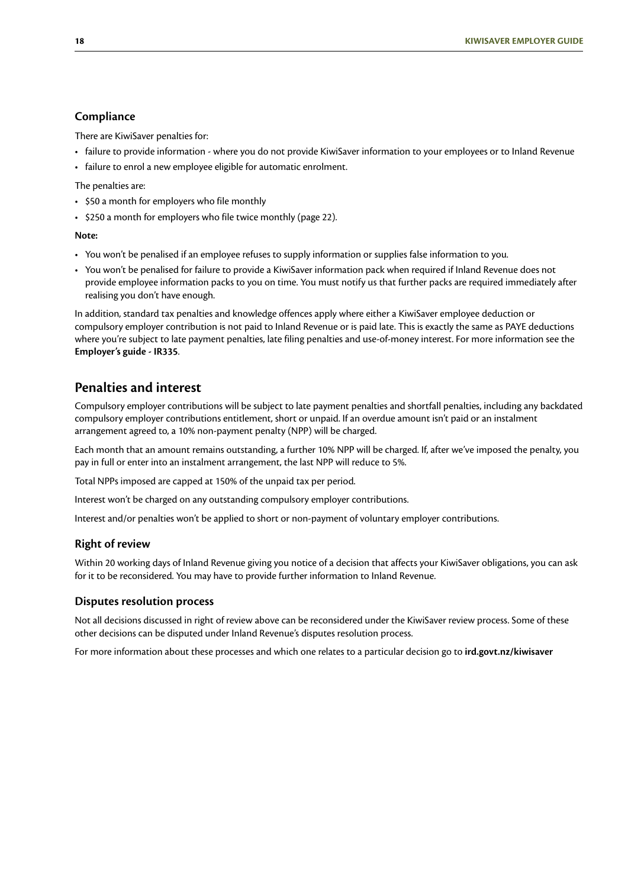#### <span id="page-19-0"></span>**Compliance**

There are KiwiSaver penalties for:

- failure to provide information where you do not provide KiwiSaver information to your employees or to Inland Revenue
- failure to enrol a new employee eligible for automatic enrolment.

The penalties are:

- \$50 a month for employers who file monthly
- \$250 a month for employers who file twice monthly [\(page 22\)](#page-23-0).

#### **Note:**

- You won't be penalised if an employee refuses to supply information or supplies false information to you.
- You won't be penalised for failure to provide a KiwiSaver information pack when required if Inland Revenue does not provide employee information packs to you on time. You must notify us that further packs are required immediately after realising you don't have enough.

In addition, standard tax penalties and knowledge offences apply where either a KiwiSaver employee deduction or compulsory employer contribution is not paid to Inland Revenue or is paid late. This is exactly the same as PAYE deductions where you're subject to late payment penalties, late filing penalties and use-of-money interest. For more information see the **Employer's guide - IR335**.

#### **Penalties and interest**

Compulsory employer contributions will be subject to late payment penalties and shortfall penalties, including any backdated compulsory employer contributions entitlement, short or unpaid. If an overdue amount isn't paid or an instalment arrangement agreed to, a 10% non-payment penalty (NPP) will be charged.

Each month that an amount remains outstanding, a further 10% NPP will be charged. If, after we've imposed the penalty, you pay in full or enter into an instalment arrangement, the last NPP will reduce to 5%.

Total NPPs imposed are capped at 150% of the unpaid tax per period.

Interest won't be charged on any outstanding compulsory employer contributions.

Interest and/or penalties won't be applied to short or non-payment of voluntary employer contributions.

#### **Right of review**

Within 20 working days of Inland Revenue giving you notice of a decision that affects your KiwiSaver obligations, you can ask for it to be reconsidered. You may have to provide further information to Inland Revenue.

#### **Disputes resolution process**

Not all decisions discussed in right of review above can be reconsidered under the KiwiSaver review process. Some of these other decisions can be disputed under Inland Revenue's disputes resolution process.

For more information about these processes and which one relates to a particular decision go to **[ird.govt.nz/kiwisaver](http://ird.govt.nz/kiwisaver)**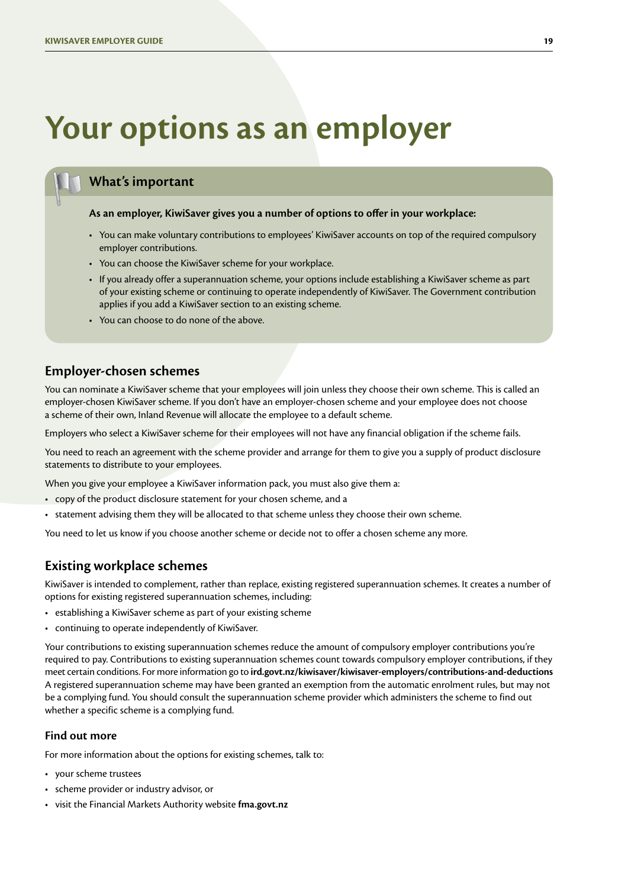## <span id="page-20-0"></span>**Your options as an employer**

#### **What's important**

#### **As an employer, KiwiSaver gives you a number of options to offer in your workplace:**

- You can make voluntary contributions to employees' KiwiSaver accounts on top of the required compulsory employer contributions.
- You can choose the KiwiSaver scheme for your workplace.
- If you already offer a superannuation scheme, your options include establishing a KiwiSaver scheme as part of your existing scheme or continuing to operate independently of KiwiSaver. The Government contribution applies if you add a KiwiSaver section to an existing scheme.
- You can choose to do none of the above.

#### **Employer-chosen schemes**

You can nominate a KiwiSaver scheme that your employees will join unless they choose their own scheme. This is called an employer-chosen KiwiSaver scheme. If you don't have an employer-chosen scheme and your employee does not choose a scheme of their own, Inland Revenue will allocate the employee to a default scheme.

Employers who select a KiwiSaver scheme for their employees will not have any financial obligation if the scheme fails.

You need to reach an agreement with the scheme provider and arrange for them to give you a supply of product disclosure statements to distribute to your employees.

When you give your employee a KiwiSaver information pack, you must also give them a:

- copy of the product disclosure statement for your chosen scheme, and a
- statement advising them they will be allocated to that scheme unless they choose their own scheme.

You need to let us know if you choose another scheme or decide not to offer a chosen scheme any more.

#### **Existing workplace schemes**

KiwiSaver is intended to complement, rather than replace, existing registered superannuation schemes. It creates a number of options for existing registered superannuation schemes, including:

- establishing a KiwiSaver scheme as part of your existing scheme
- continuing to operate independently of KiwiSaver.

Your contributions to existing superannuation schemes reduce the amount of compulsory employer contributions you're required to pay. Contributions to existing superannuation schemes count towards compulsory employer contributions, if they meet certain conditions. For more information go to **[ird.govt.nz/kiwisaver/kiwisaver-employers/contributions-and-deductions](http://ird.govt.nz/kiwisaver/kiwisaver-employers/contributions-and-deductions)** A registered superannuation scheme may have been granted an exemption from the automatic enrolment rules, but may not be a complying fund. You should consult the superannuation scheme provider which administers the scheme to find out whether a specific scheme is a complying fund.

#### **Find out more**

For more information about the options for existing schemes, talk to:

- your scheme trustees
- scheme provider or industry advisor, or
- visit the Financial Markets Authority website **[fma.govt.nz](http://fma.govt.nz)**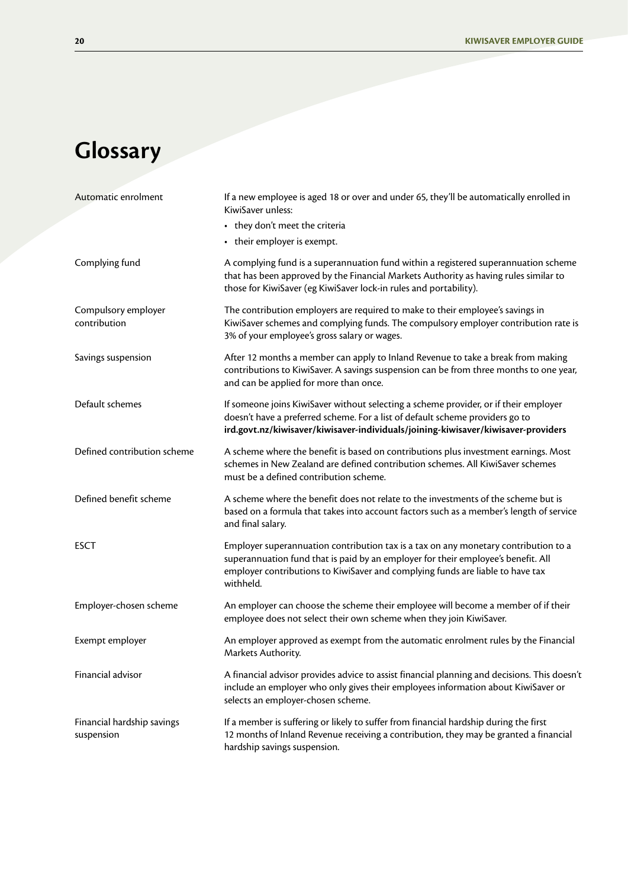### <span id="page-21-0"></span>**Glossary**

| Automatic enrolment                      | If a new employee is aged 18 or over and under 65, they'll be automatically enrolled in<br>KiwiSaver unless:                                                                                                                                                            |
|------------------------------------------|-------------------------------------------------------------------------------------------------------------------------------------------------------------------------------------------------------------------------------------------------------------------------|
|                                          | • they don't meet the criteria                                                                                                                                                                                                                                          |
|                                          | • their employer is exempt.                                                                                                                                                                                                                                             |
| Complying fund                           | A complying fund is a superannuation fund within a registered superannuation scheme<br>that has been approved by the Financial Markets Authority as having rules similar to<br>those for KiwiSaver (eg KiwiSaver lock-in rules and portability).                        |
| Compulsory employer<br>contribution      | The contribution employers are required to make to their employee's savings in<br>KiwiSaver schemes and complying funds. The compulsory employer contribution rate is<br>3% of your employee's gross salary or wages.                                                   |
| Savings suspension                       | After 12 months a member can apply to Inland Revenue to take a break from making<br>contributions to KiwiSaver. A savings suspension can be from three months to one year,<br>and can be applied for more than once.                                                    |
| Default schemes                          | If someone joins KiwiSaver without selecting a scheme provider, or if their employer<br>doesn't have a preferred scheme. For a list of default scheme providers go to<br>ird.govt.nz/kiwisaver/kiwisaver-individuals/joining-kiwisaver/kiwisaver-providers              |
| Defined contribution scheme              | A scheme where the benefit is based on contributions plus investment earnings. Most<br>schemes in New Zealand are defined contribution schemes. All KiwiSaver schemes<br>must be a defined contribution scheme.                                                         |
| Defined benefit scheme                   | A scheme where the benefit does not relate to the investments of the scheme but is<br>based on a formula that takes into account factors such as a member's length of service<br>and final salary.                                                                      |
| <b>ESCT</b>                              | Employer superannuation contribution tax is a tax on any monetary contribution to a<br>superannuation fund that is paid by an employer for their employee's benefit. All<br>employer contributions to KiwiSaver and complying funds are liable to have tax<br>withheld. |
| Employer-chosen scheme                   | An employer can choose the scheme their employee will become a member of if their<br>employee does not select their own scheme when they join KiwiSaver.                                                                                                                |
| Exempt employer                          | An employer approved as exempt from the automatic enrolment rules by the Financial<br>Markets Authority.                                                                                                                                                                |
| Financial advisor                        | A financial advisor provides advice to assist financial planning and decisions. This doesn't<br>include an employer who only gives their employees information about KiwiSaver or<br>selects an employer-chosen scheme.                                                 |
| Financial hardship savings<br>suspension | If a member is suffering or likely to suffer from financial hardship during the first<br>12 months of Inland Revenue receiving a contribution, they may be granted a financial<br>hardship savings suspension.                                                          |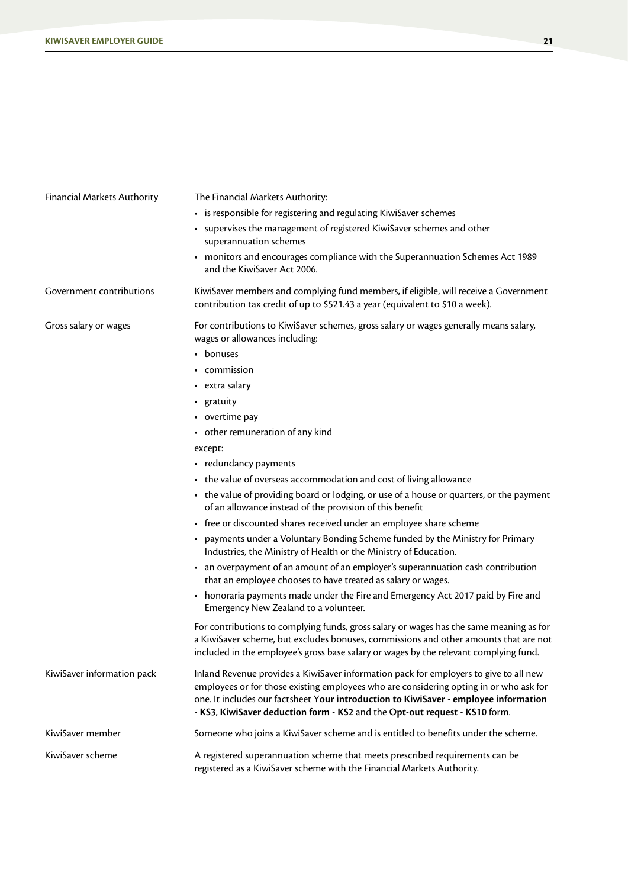<span id="page-22-0"></span>

| Financial Markets Authority | The Financial Markets Authority:                                                                                                                                                                                                                                                                                                                      |
|-----------------------------|-------------------------------------------------------------------------------------------------------------------------------------------------------------------------------------------------------------------------------------------------------------------------------------------------------------------------------------------------------|
|                             | • is responsible for registering and regulating KiwiSaver schemes                                                                                                                                                                                                                                                                                     |
|                             | • supervises the management of registered KiwiSaver schemes and other<br>superannuation schemes                                                                                                                                                                                                                                                       |
|                             | • monitors and encourages compliance with the Superannuation Schemes Act 1989<br>and the KiwiSaver Act 2006.                                                                                                                                                                                                                                          |
| Government contributions    | KiwiSaver members and complying fund members, if eligible, will receive a Government<br>contribution tax credit of up to \$521.43 a year (equivalent to \$10 a week).                                                                                                                                                                                 |
| Gross salary or wages       | For contributions to KiwiSaver schemes, gross salary or wages generally means salary,<br>wages or allowances including:                                                                                                                                                                                                                               |
|                             | • bonuses                                                                                                                                                                                                                                                                                                                                             |
|                             | commission                                                                                                                                                                                                                                                                                                                                            |
|                             | • extra salary                                                                                                                                                                                                                                                                                                                                        |
|                             | • gratuity                                                                                                                                                                                                                                                                                                                                            |
|                             | • overtime pay                                                                                                                                                                                                                                                                                                                                        |
|                             | • other remuneration of any kind                                                                                                                                                                                                                                                                                                                      |
|                             | except:                                                                                                                                                                                                                                                                                                                                               |
|                             | • redundancy payments                                                                                                                                                                                                                                                                                                                                 |
|                             | • the value of overseas accommodation and cost of living allowance                                                                                                                                                                                                                                                                                    |
|                             | • the value of providing board or lodging, or use of a house or quarters, or the payment<br>of an allowance instead of the provision of this benefit                                                                                                                                                                                                  |
|                             | • free or discounted shares received under an employee share scheme                                                                                                                                                                                                                                                                                   |
|                             | payments under a Voluntary Bonding Scheme funded by the Ministry for Primary<br>Industries, the Ministry of Health or the Ministry of Education.                                                                                                                                                                                                      |
|                             | • an overpayment of an amount of an employer's superannuation cash contribution<br>that an employee chooses to have treated as salary or wages.                                                                                                                                                                                                       |
|                             | • honoraria payments made under the Fire and Emergency Act 2017 paid by Fire and<br>Emergency New Zealand to a volunteer.                                                                                                                                                                                                                             |
|                             | For contributions to complying funds, gross salary or wages has the same meaning as for<br>a KiwiSaver scheme, but excludes bonuses, commissions and other amounts that are not<br>included in the employee's gross base salary or wages by the relevant complying fund.                                                                              |
| KiwiSaver information pack  | Inland Revenue provides a KiwiSaver information pack for employers to give to all new<br>employees or for those existing employees who are considering opting in or who ask for<br>one. It includes our factsheet Your introduction to KiwiSaver - employee information<br>- KS3, KiwiSaver deduction form - KS2 and the Opt-out request - KS10 form. |
| KiwiSaver member            | Someone who joins a KiwiSaver scheme and is entitled to benefits under the scheme.                                                                                                                                                                                                                                                                    |
| KiwiSaver scheme            | A registered superannuation scheme that meets prescribed requirements can be<br>registered as a KiwiSaver scheme with the Financial Markets Authority.                                                                                                                                                                                                |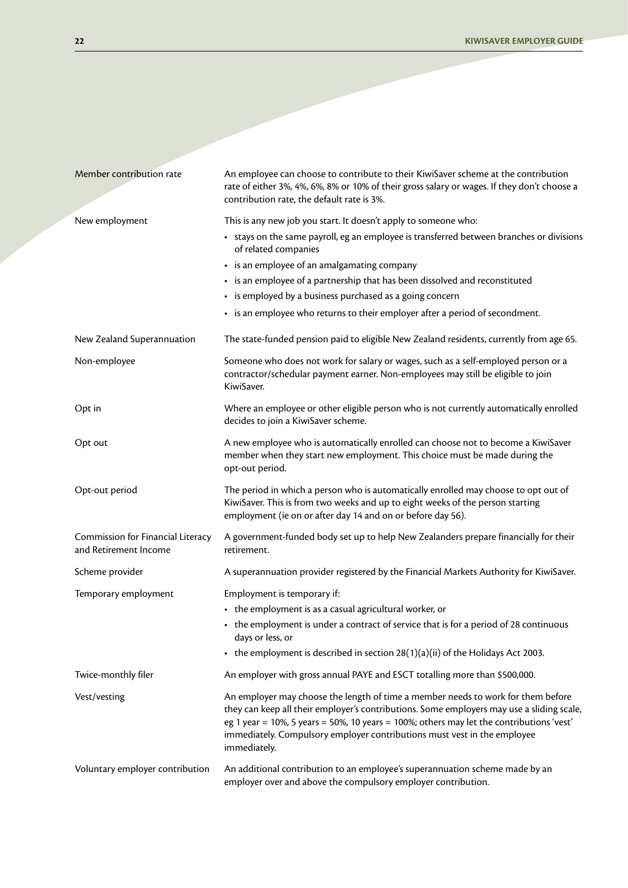<span id="page-23-0"></span>

| Member contribution rate                                   | An employee can choose to contribute to their KiwiSaver scheme at the contribution<br>rate of either 3%, 4%, 6%, 8% or 10% of their gross salary or wages. If they don't choose a<br>contribution rate, the default rate is 3%.                                                                                                                                       |
|------------------------------------------------------------|-----------------------------------------------------------------------------------------------------------------------------------------------------------------------------------------------------------------------------------------------------------------------------------------------------------------------------------------------------------------------|
| New employment                                             | This is any new job you start. It doesn't apply to someone who:                                                                                                                                                                                                                                                                                                       |
|                                                            | • stays on the same payroll, eg an employee is transferred between branches or divisions<br>of related companies                                                                                                                                                                                                                                                      |
|                                                            | • is an employee of an amalgamating company                                                                                                                                                                                                                                                                                                                           |
|                                                            | • is an employee of a partnership that has been dissolved and reconstituted                                                                                                                                                                                                                                                                                           |
|                                                            | • is employed by a business purchased as a going concern                                                                                                                                                                                                                                                                                                              |
|                                                            | • is an employee who returns to their employer after a period of secondment.                                                                                                                                                                                                                                                                                          |
| New Zealand Superannuation                                 | The state-funded pension paid to eligible New Zealand residents, currently from age 65.                                                                                                                                                                                                                                                                               |
| Non-employee                                               | Someone who does not work for salary or wages, such as a self-employed person or a<br>contractor/schedular payment earner. Non-employees may still be eligible to join<br>KiwiSaver.                                                                                                                                                                                  |
| Opt in                                                     | Where an employee or other eligible person who is not currently automatically enrolled<br>decides to join a KiwiSaver scheme.                                                                                                                                                                                                                                         |
| Opt out                                                    | A new employee who is automatically enrolled can choose not to become a KiwiSaver<br>member when they start new employment. This choice must be made during the<br>opt-out period.                                                                                                                                                                                    |
| Opt-out period                                             | The period in which a person who is automatically enrolled may choose to opt out of<br>KiwiSaver. This is from two weeks and up to eight weeks of the person starting<br>employment (ie on or after day 14 and on or before day 56).                                                                                                                                  |
| Commission for Financial Literacy<br>and Retirement Income | A government-funded body set up to help New Zealanders prepare financially for their<br>retirement.                                                                                                                                                                                                                                                                   |
| Scheme provider                                            | A superannuation provider registered by the Financial Markets Authority for KiwiSaver.                                                                                                                                                                                                                                                                                |
| Temporary employment                                       | Employment is temporary if:                                                                                                                                                                                                                                                                                                                                           |
|                                                            | • the employment is as a casual agricultural worker, or                                                                                                                                                                                                                                                                                                               |
|                                                            | • the employment is under a contract of service that is for a period of 28 continuous<br>days or less, or                                                                                                                                                                                                                                                             |
|                                                            | • the employment is described in section $28(1)(a)(ii)$ of the Holidays Act 2003.                                                                                                                                                                                                                                                                                     |
| Twice-monthly filer                                        | An employer with gross annual PAYE and ESCT totalling more than \$500,000.                                                                                                                                                                                                                                                                                            |
| Vest/vesting                                               | An employer may choose the length of time a member needs to work for them before<br>they can keep all their employer's contributions. Some employers may use a sliding scale,<br>eg 1 year = 10%, 5 years = 50%, 10 years = 100%; others may let the contributions 'vest'<br>immediately. Compulsory employer contributions must vest in the employee<br>immediately. |
| Voluntary employer contribution                            | An additional contribution to an employee's superannuation scheme made by an<br>employer over and above the compulsory employer contribution.                                                                                                                                                                                                                         |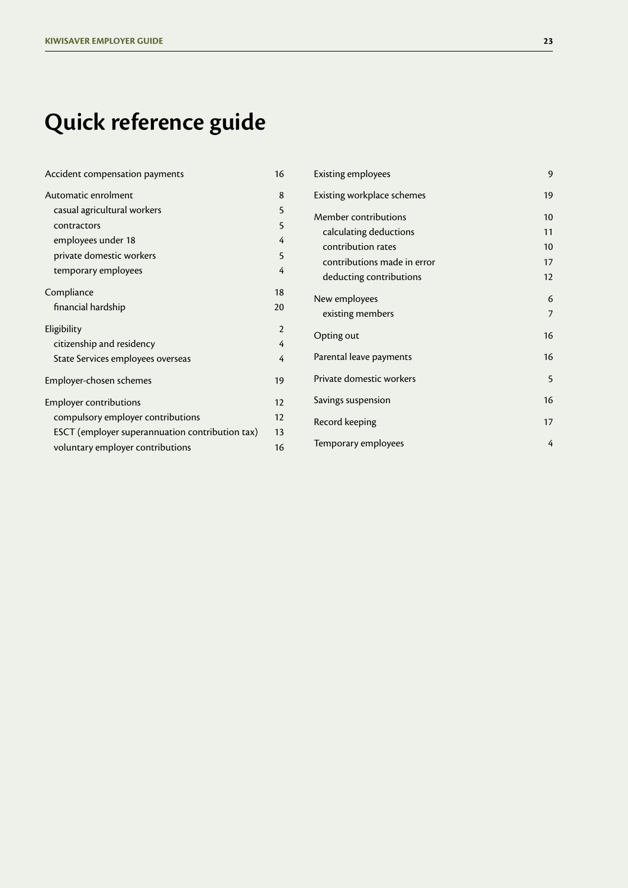## <span id="page-24-0"></span>**Quick reference guide**

| Accident compensation payments                  | 16             |
|-------------------------------------------------|----------------|
| Automatic enrolment                             | 8              |
| casual agricultural workers                     | 5              |
| contractors                                     | 5              |
| employees under 18                              | 4              |
| private domestic workers                        | 5              |
| temporary employees                             | 4              |
| Compliance                                      | 18             |
| financial hardship                              | 20             |
| Eligibility                                     | $\mathfrak{D}$ |
| citizenship and residency                       | 4              |
| State Services employees overseas               | 4              |
| Employer-chosen schemes                         | 19             |
| Employer contributions                          | 12             |
| compulsory employer contributions               | 12             |
| ESCT (employer superannuation contribution tax) | 13             |
| voluntary employer contributions                | 16             |

| Existing employees                                                                                                             | 9                          |
|--------------------------------------------------------------------------------------------------------------------------------|----------------------------|
| Existing workplace schemes                                                                                                     | 19                         |
| Member contributions<br>calculating deductions<br>contribution rates<br>contributions made in error<br>deducting contributions | 10<br>11<br>10<br>17<br>12 |
| New employees<br>existing members                                                                                              | 6<br>7                     |
| Opting out                                                                                                                     | 16                         |
| Parental leave payments                                                                                                        | 16                         |
| Private domestic workers                                                                                                       | 5                          |
| Savings suspension                                                                                                             | 16                         |
| Record keeping                                                                                                                 | 17                         |
| Temporary employees                                                                                                            | 4                          |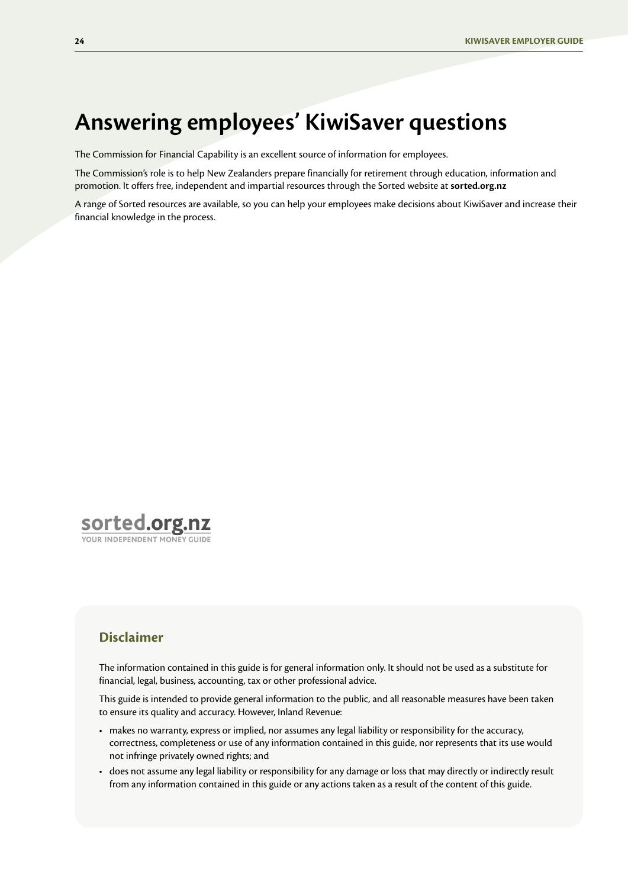### <span id="page-25-0"></span>**Answering employees' KiwiSaver questions**

The Commission for Financial Capability is an excellent source of information for employees.

The Commission's role is to help New Zealanders prepare financially for retirement through education, information and promotion. It offers free, independent and impartial resources through the Sorted website at **sorted.org.nz**

A range of Sorted resources are available, so you can help your employees make decisions about KiwiSaver and increase their financial knowledge in the process.



#### **Disclaimer**

The information contained in this guide is for general information only. It should not be used as a substitute for financial, legal, business, accounting, tax or other professional advice.

This guide is intended to provide general information to the public, and all reasonable measures have been taken to ensure its quality and accuracy. However, Inland Revenue:

- makes no warranty, express or implied, nor assumes any legal liability or responsibility for the accuracy, correctness, completeness or use of any information contained in this guide, nor represents that its use would not infringe privately owned rights; and
- does not assume any legal liability or responsibility for any damage or loss that may directly or indirectly result from any information contained in this guide or any actions taken as a result of the content of this guide.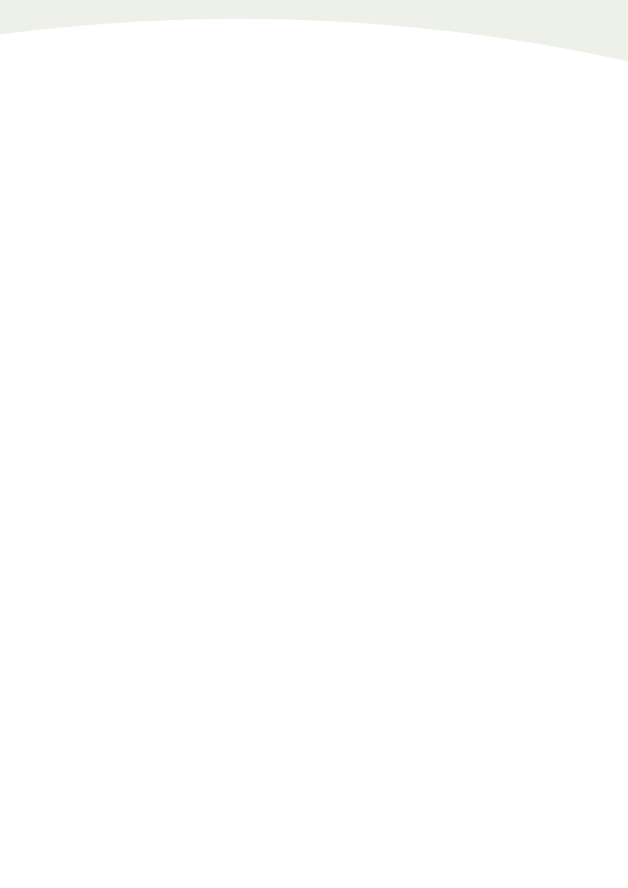